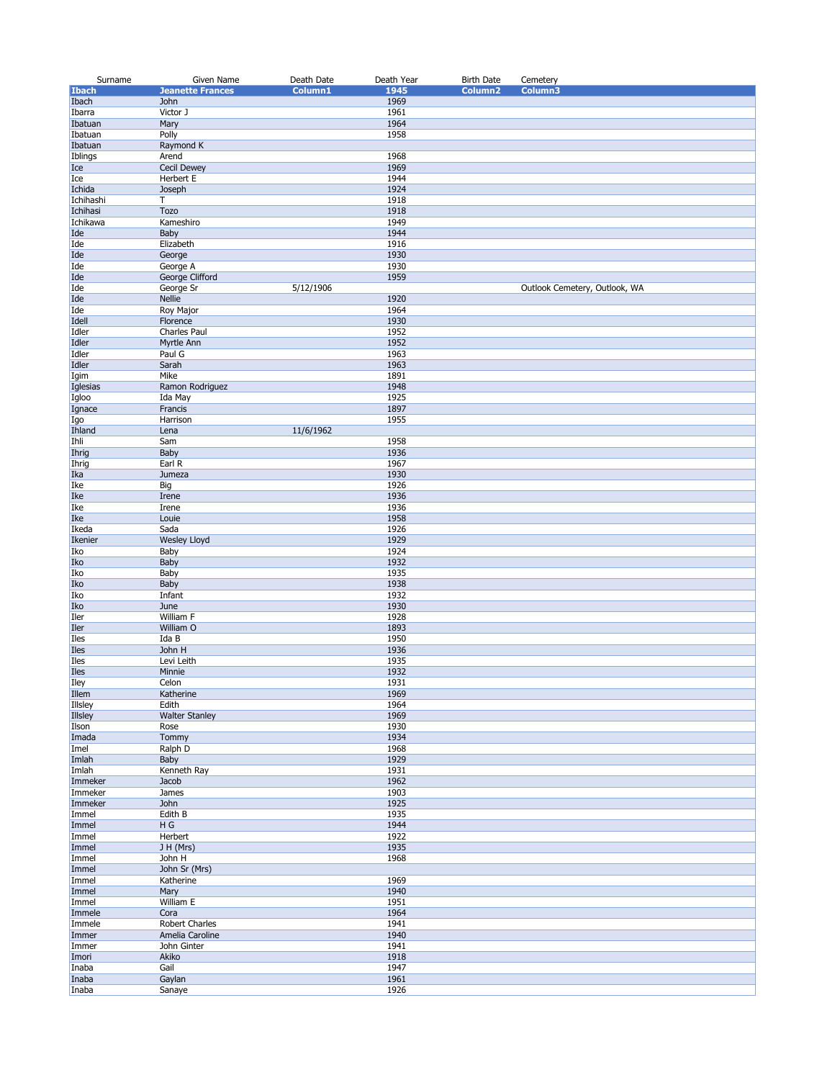| Surname             | Given Name              | Death Date | Death Year   | <b>Birth Date</b>   | Cemetery                      |
|---------------------|-------------------------|------------|--------------|---------------------|-------------------------------|
| <b>Ibach</b>        | <b>Jeanette Frances</b> | Column1    | 1945         | Column <sub>2</sub> | Column3                       |
| Ibach               | John                    |            | 1969         |                     |                               |
| Ibarra              | Victor J                |            | 1961         |                     |                               |
| Ibatuan             | Mary                    |            | 1964         |                     |                               |
| Ibatuan<br>Ibatuan  | Polly<br>Raymond K      |            | 1958         |                     |                               |
| Iblings             | Arend                   |            | 1968         |                     |                               |
| Ice                 | <b>Cecil Dewey</b>      |            | 1969         |                     |                               |
| Ice                 | Herbert E               |            | 1944         |                     |                               |
| Ichida              | Joseph                  |            | 1924         |                     |                               |
| Ichihashi           | Τ                       |            | 1918         |                     |                               |
| Ichihasi            | <b>Tozo</b>             |            | 1918         |                     |                               |
| Ichikawa            | Kameshiro               |            | 1949         |                     |                               |
| Ide                 | Baby                    |            | 1944         |                     |                               |
| Ide<br>Ide          | Elizabeth<br>George     |            | 1916<br>1930 |                     |                               |
| Ide                 | George A                |            | 1930         |                     |                               |
| Ide                 | George Clifford         |            | 1959         |                     |                               |
| Ide                 | George Sr               | 5/12/1906  |              |                     | Outlook Cemetery, Outlook, WA |
| Ide                 | <b>Nellie</b>           |            | 1920         |                     |                               |
| Ide                 | <b>Roy Major</b>        |            | 1964         |                     |                               |
| Idell               | Florence                |            | 1930         |                     |                               |
| Idler               | Charles Paul            |            | 1952         |                     |                               |
| Idler               | Myrtle Ann              |            | 1952         |                     |                               |
| Idler<br>Idler      | Paul G<br>Sarah         |            | 1963<br>1963 |                     |                               |
| Igim                | Mike                    |            | 1891         |                     |                               |
| Iglesias            | Ramon Rodriguez         |            | 1948         |                     |                               |
| Igloo               | Ida May                 |            | 1925         |                     |                               |
| Ignace              | Francis                 |            | 1897         |                     |                               |
| Igo                 | Harrison                |            | 1955         |                     |                               |
| Ihland              | Lena                    | 11/6/1962  |              |                     |                               |
| Ihli                | Sam                     |            | 1958         |                     |                               |
| Ihrig               | Baby                    |            | 1936         |                     |                               |
| Ihrig<br>Ika        | Earl R<br>Jumeza        |            | 1967<br>1930 |                     |                               |
| Ike                 | Big                     |            | 1926         |                     |                               |
| Ike                 | Irene                   |            | 1936         |                     |                               |
| Ike                 | Irene                   |            | 1936         |                     |                               |
| Ike                 | Louie                   |            | 1958         |                     |                               |
| Ikeda               | Sada                    |            | 1926         |                     |                               |
| Ikenier             | <b>Wesley Lloyd</b>     |            | 1929         |                     |                               |
| Iko                 | Baby                    |            | 1924         |                     |                               |
| Iko                 | Baby                    |            | 1932         |                     |                               |
| Iko<br>Iko          | Baby<br>Baby            |            | 1935<br>1938 |                     |                               |
| Iko                 | Infant                  |            | 1932         |                     |                               |
| Iko                 | June                    |            | 1930         |                     |                               |
| Iler                | William F               |            | 1928         |                     |                               |
| Iler                | William O               |            | 1893         |                     |                               |
| Iles                | Ida B                   |            | 1950         |                     |                               |
| Iles                | John H                  |            | 1936         |                     |                               |
| Iles                | Levi Leith              |            | 1935         |                     |                               |
| <b>Iles</b><br>Iley | Minnie<br>Celon         |            | 1932<br>1931 |                     |                               |
| Illem               | Katherine               |            | 1969         |                     |                               |
| Illsley             | Edith                   |            | 1964         |                     |                               |
| <b>Illsley</b>      | <b>Walter Stanley</b>   |            | 1969         |                     |                               |
| Ilson               | Rose                    |            | 1930         |                     |                               |
| Imada               | Tommy                   |            | 1934         |                     |                               |
| Imel                | Ralph D                 |            | 1968         |                     |                               |
| Imlah               | Baby                    |            | 1929         |                     |                               |
| Imlah               | Kenneth Ray             |            | 1931         |                     |                               |
| Immeker<br>Immeker  | Jacob<br>James          |            | 1962<br>1903 |                     |                               |
| Immeker             | John                    |            | 1925         |                     |                               |
| Immel               | Edith B                 |            | 1935         |                     |                               |
| Immel               | H G                     |            | 1944         |                     |                               |
| Immel               | Herbert                 |            | 1922         |                     |                               |
| Immel               | J H (Mrs)               |            | 1935         |                     |                               |
| Immel               | John H                  |            | 1968         |                     |                               |
| Immel               | John Sr (Mrs)           |            |              |                     |                               |
| Immel               | Katherine               |            | 1969         |                     |                               |
| Immel<br>Immel      | Mary<br>William E       |            | 1940<br>1951 |                     |                               |
| Immele              | Cora                    |            | 1964         |                     |                               |
| Immele              | Robert Charles          |            | 1941         |                     |                               |
| Immer               | Amelia Caroline         |            | 1940         |                     |                               |
| Immer               | John Ginter             |            | 1941         |                     |                               |
| Imori               | Akiko                   |            | 1918         |                     |                               |
| Inaba               | Gail                    |            | 1947         |                     |                               |
| Inaba               | Gaylan                  |            | 1961         |                     |                               |
| Inaba               | Sanaye                  |            | 1926         |                     |                               |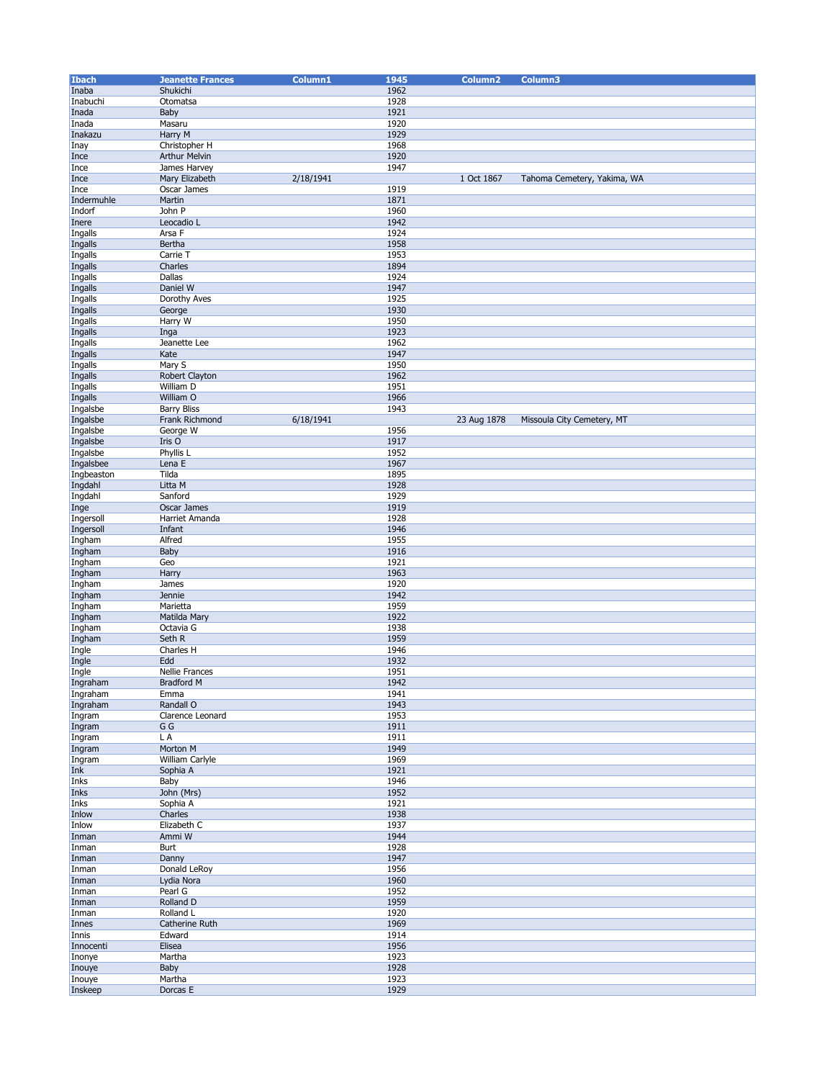| <b>Ibach</b> | <b>Jeanette Frances</b> | Column1   | 1945 | Column <sub>2</sub> | Column3                     |
|--------------|-------------------------|-----------|------|---------------------|-----------------------------|
| Inaba        | Shukichi                |           | 1962 |                     |                             |
|              |                         |           |      |                     |                             |
| Inabuchi     | Otomatsa                |           | 1928 |                     |                             |
| Inada        | Baby                    |           | 1921 |                     |                             |
| Inada        | Masaru                  |           | 1920 |                     |                             |
| Inakazu      | Harry M                 |           | 1929 |                     |                             |
| Inay         | Christopher H           |           | 1968 |                     |                             |
| Ince         | Arthur Melvin           |           | 1920 |                     |                             |
| Ince         | James Harvey            |           | 1947 |                     |                             |
| Ince         | Mary Elizabeth          | 2/18/1941 |      | 1 Oct 1867          | Tahoma Cemetery, Yakima, WA |
| Ince         | Oscar James             |           | 1919 |                     |                             |
|              |                         |           |      |                     |                             |
| Indermuhle   | Martin                  |           | 1871 |                     |                             |
| Indorf       | John P                  |           | 1960 |                     |                             |
| Inere        | Leocadio L              |           | 1942 |                     |                             |
| Ingalls      | Arsa F                  |           | 1924 |                     |                             |
| Ingalls      | Bertha                  |           | 1958 |                     |                             |
| Ingalls      | Carrie T                |           | 1953 |                     |                             |
| Ingalls      | Charles                 |           | 1894 |                     |                             |
| Ingalls      | Dallas                  |           | 1924 |                     |                             |
| Ingalls      | Daniel W                |           | 1947 |                     |                             |
|              |                         |           | 1925 |                     |                             |
| Ingalls      | Dorothy Aves            |           |      |                     |                             |
| Ingalls      | George                  |           | 1930 |                     |                             |
| Ingalls      | Harry W                 |           | 1950 |                     |                             |
| Ingalls      | Inga                    |           | 1923 |                     |                             |
| Ingalls      | Jeanette Lee            |           | 1962 |                     |                             |
| Ingalls      | Kate                    |           | 1947 |                     |                             |
| Ingalls      | Mary S                  |           | 1950 |                     |                             |
| Ingalls      | Robert Clayton          |           | 1962 |                     |                             |
| Ingalls      | William D               |           | 1951 |                     |                             |
|              | William O               |           | 1966 |                     |                             |
| Ingalls      |                         |           |      |                     |                             |
| Ingalsbe     | <b>Barry Bliss</b>      |           | 1943 |                     |                             |
| Ingalsbe     | Frank Richmond          | 6/18/1941 |      | 23 Aug 1878         | Missoula City Cemetery, MT  |
| Ingalsbe     | George W                |           | 1956 |                     |                             |
| Ingalsbe     | Iris O                  |           | 1917 |                     |                             |
| Ingalsbe     | Phyllis L               |           | 1952 |                     |                             |
| Ingalsbee    | Lena E                  |           | 1967 |                     |                             |
| Ingbeaston   | Tilda                   |           | 1895 |                     |                             |
| Ingdahl      | Litta M                 |           | 1928 |                     |                             |
| Ingdahl      | Sanford                 |           | 1929 |                     |                             |
| Inge         | Oscar James             |           | 1919 |                     |                             |
| Ingersoll    | Harriet Amanda          |           | 1928 |                     |                             |
| Ingersoll    | Infant                  |           | 1946 |                     |                             |
| Ingham       | Alfred                  |           | 1955 |                     |                             |
| Ingham       | Baby                    |           | 1916 |                     |                             |
| Ingham       | Geo                     |           | 1921 |                     |                             |
|              | Harry                   |           | 1963 |                     |                             |
| Ingham       |                         |           | 1920 |                     |                             |
| Ingham       | James                   |           |      |                     |                             |
| Ingham       | <b>Jennie</b>           |           | 1942 |                     |                             |
| Ingham       | Marietta                |           | 1959 |                     |                             |
| Ingham       | Matilda Mary            |           | 1922 |                     |                             |
| Ingham       | Octavia G               |           | 1938 |                     |                             |
| Ingham       | Seth R                  |           | 1959 |                     |                             |
| Ingle        | Charles H               |           | 1946 |                     |                             |
| Ingle        | Edd                     |           | 1932 |                     |                             |
| Ingle        | Nellie Frances          |           | 1951 |                     |                             |
| Ingraham     | <b>Bradford M</b>       |           | 1942 |                     |                             |
| Ingraham     | Emma                    |           | 1941 |                     |                             |
| Ingraham     | Randall O               |           | 1943 |                     |                             |
| Ingram       | Clarence Leonard        |           | 1953 |                     |                             |
| Ingram       | G G                     |           | 1911 |                     |                             |
| Ingram       | L A                     |           | 1911 |                     |                             |
| Ingram       | Morton M                |           | 1949 |                     |                             |
|              | <b>William Carlyle</b>  |           | 1969 |                     |                             |
| Ingram       | Sophia A                |           | 1921 |                     |                             |
| Ink          |                         |           |      |                     |                             |
| Inks         | Baby                    |           | 1946 |                     |                             |
| Inks         | John (Mrs)              |           | 1952 |                     |                             |
| Inks         | Sophia A                |           | 1921 |                     |                             |
| Inlow        | Charles                 |           | 1938 |                     |                             |
| Inlow        | Elizabeth C             |           | 1937 |                     |                             |
| Inman        | Ammi W                  |           | 1944 |                     |                             |
| Inman        | Burt                    |           | 1928 |                     |                             |
| Inman        | Danny                   |           | 1947 |                     |                             |
| Inman        | Donald LeRoy            |           | 1956 |                     |                             |
| Inman        | Lydia Nora              |           | 1960 |                     |                             |
| Inman        | Pearl G                 |           | 1952 |                     |                             |
| Inman        | Rolland D               |           | 1959 |                     |                             |
| Inman        | Rolland L               |           | 1920 |                     |                             |
| Innes        | Catherine Ruth          |           | 1969 |                     |                             |
| Innis        | Edward                  |           | 1914 |                     |                             |
| Innocenti    | Elisea                  |           | 1956 |                     |                             |
| Inonye       | Martha                  |           | 1923 |                     |                             |
|              | Baby                    |           | 1928 |                     |                             |
| Inouye       |                         |           |      |                     |                             |
| Inouye       | Martha                  |           | 1923 |                     |                             |
| Inskeep      | Dorcas E                |           | 1929 |                     |                             |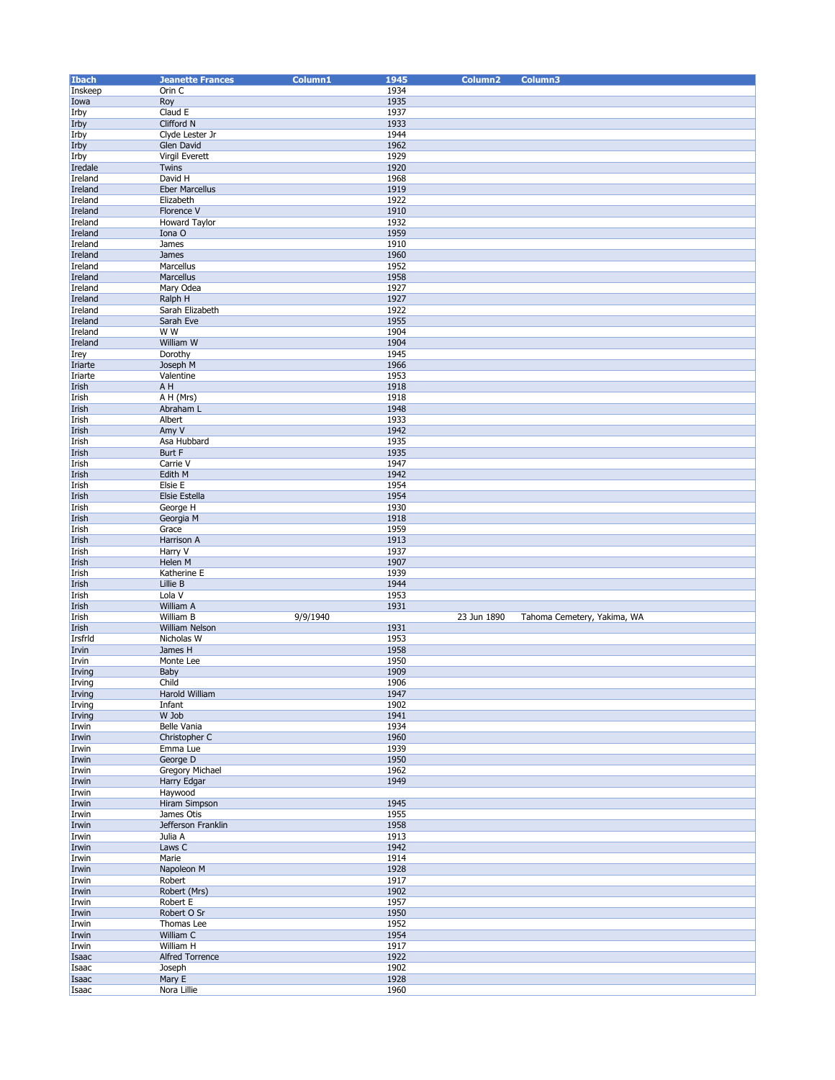| <b>Ibach</b>   | <b>Jeanette Frances</b> | Column1  | 1945         | Column <sub>2</sub> | Column3                     |
|----------------|-------------------------|----------|--------------|---------------------|-----------------------------|
| Inskeep        | Orin C                  |          | 1934         |                     |                             |
| Iowa           | Roy                     |          | 1935         |                     |                             |
| Irby           | Claud E                 |          | 1937         |                     |                             |
|                | Clifford N              |          | 1933         |                     |                             |
| Irby           |                         |          |              |                     |                             |
| Irby           | Clyde Lester Jr         |          | 1944         |                     |                             |
| Irby           | Glen David              |          | 1962         |                     |                             |
| Irby           | Virgil Everett          |          | 1929         |                     |                             |
| Iredale        | Twins                   |          | 1920         |                     |                             |
| Ireland        | David H                 |          | 1968         |                     |                             |
| Ireland        | <b>Eber Marcellus</b>   |          | 1919         |                     |                             |
|                |                         |          |              |                     |                             |
| Ireland        | Elizabeth               |          | 1922         |                     |                             |
| Ireland        | Florence V              |          | 1910         |                     |                             |
| Ireland        | <b>Howard Taylor</b>    |          | 1932         |                     |                             |
| Ireland        | Iona O                  |          | 1959         |                     |                             |
| Ireland        | James                   |          | 1910         |                     |                             |
| Ireland        | James                   |          | 1960         |                     |                             |
| Ireland        | Marcellus               |          | 1952         |                     |                             |
|                |                         |          |              |                     |                             |
| Ireland        | Marcellus               |          | 1958         |                     |                             |
| Ireland        | Mary Odea               |          | 1927         |                     |                             |
| Ireland        | Ralph H                 |          | 1927         |                     |                             |
| Ireland        | Sarah Elizabeth         |          | 1922         |                     |                             |
| Ireland        | Sarah Eve               |          | 1955         |                     |                             |
| Ireland        | W W                     |          | 1904         |                     |                             |
| Ireland        | William W               |          | 1904         |                     |                             |
|                |                         |          | 1945         |                     |                             |
| <b>Irey</b>    | Dorothy                 |          |              |                     |                             |
| Iriarte        | Joseph M                |          | 1966         |                     |                             |
| Iriarte        | Valentine               |          | 1953         |                     |                             |
| Irish          | A H                     |          | 1918         |                     |                             |
| Irish          | A H (Mrs)               |          | 1918         |                     |                             |
| Irish          | Abraham L               |          | 1948         |                     |                             |
|                |                         |          | 1933         |                     |                             |
| Irish          | Albert                  |          |              |                     |                             |
| Irish          | Amy V                   |          | 1942         |                     |                             |
| Irish          | Asa Hubbard             |          | 1935         |                     |                             |
| Irish          | Burt F                  |          | 1935         |                     |                             |
| Irish          | Carrie V                |          | 1947         |                     |                             |
| Irish          | Edith M                 |          | 1942         |                     |                             |
| Irish          | Elsie E                 |          | 1954         |                     |                             |
|                |                         |          |              |                     |                             |
| Irish          | Elsie Estella           |          | 1954         |                     |                             |
| Irish          | George H                |          | 1930         |                     |                             |
| Irish          | Georgia M               |          | 1918         |                     |                             |
| Irish          | Grace                   |          | 1959         |                     |                             |
| Irish          | Harrison A              |          | 1913         |                     |                             |
| Irish          | Harry V                 |          | 1937         |                     |                             |
|                | Helen M                 |          | 1907         |                     |                             |
| Irish          |                         |          |              |                     |                             |
| Irish          | Katherine E             |          | 1939         |                     |                             |
| Irish          | Lillie B                |          | 1944         |                     |                             |
| Irish          | Lola V                  |          | 1953         |                     |                             |
| Irish          | William A               |          | 1931         |                     |                             |
| Irish          | William B               | 9/9/1940 |              | 23 Jun 1890         | Tahoma Cemetery, Yakima, WA |
| Irish          | William Nelson          |          | 1931         |                     |                             |
| Irsfrld        | Nicholas W              |          | 1953         |                     |                             |
|                |                         |          |              |                     |                             |
| Irvin          | James H                 |          | 1958         |                     |                             |
| Irvin          | Monte Lee               |          | 1950         |                     |                             |
| Irving         | Baby                    |          | 1909         |                     |                             |
| Irving         | Child                   |          | 1906         |                     |                             |
| Irving         | Harold William          |          | 1947         |                     |                             |
| Irving         | Infant                  |          | 1902         |                     |                             |
| Irving         | W Job                   |          | 1941         |                     |                             |
| Irwin          | Belle Vania             |          | 1934         |                     |                             |
|                |                         |          |              |                     |                             |
| Irwin          | Christopher C           |          | 1960         |                     |                             |
| Irwin          | Emma Lue                |          | 1939         |                     |                             |
| Irwin          | George D                |          | 1950         |                     |                             |
| Irwin          | <b>Gregory Michael</b>  |          | 1962         |                     |                             |
| Irwin          | Harry Edgar             |          | 1949         |                     |                             |
| Irwin          | Haywood                 |          |              |                     |                             |
| Irwin          | <b>Hiram Simpson</b>    |          | 1945         |                     |                             |
|                | James Otis              |          |              |                     |                             |
| Irwin          |                         |          |              |                     |                             |
| Irwin          |                         |          | 1955         |                     |                             |
| Irwin          | Jefferson Franklin      |          | 1958         |                     |                             |
| Irwin          | Julia A                 |          | 1913         |                     |                             |
|                | Laws C                  |          | 1942         |                     |                             |
|                |                         |          |              |                     |                             |
| Irwin          | Marie                   |          | 1914         |                     |                             |
| Irwin          | Napoleon M              |          | 1928         |                     |                             |
| Irwin          | Robert                  |          | 1917         |                     |                             |
| Irwin          | Robert (Mrs)            |          | 1902         |                     |                             |
| Irwin          | Robert E                |          | 1957         |                     |                             |
| Irwin          | Robert O Sr             |          | 1950         |                     |                             |
| Irwin          | Thomas Lee              |          | 1952         |                     |                             |
|                |                         |          |              |                     |                             |
| Irwin          | William C               |          | 1954         |                     |                             |
| Irwin          | William H               |          | 1917         |                     |                             |
| Isaac          | Alfred Torrence         |          | 1922         |                     |                             |
| Isaac          | Joseph                  |          | 1902         |                     |                             |
| Isaac<br>Isaac | Mary E<br>Nora Lillie   |          | 1928<br>1960 |                     |                             |